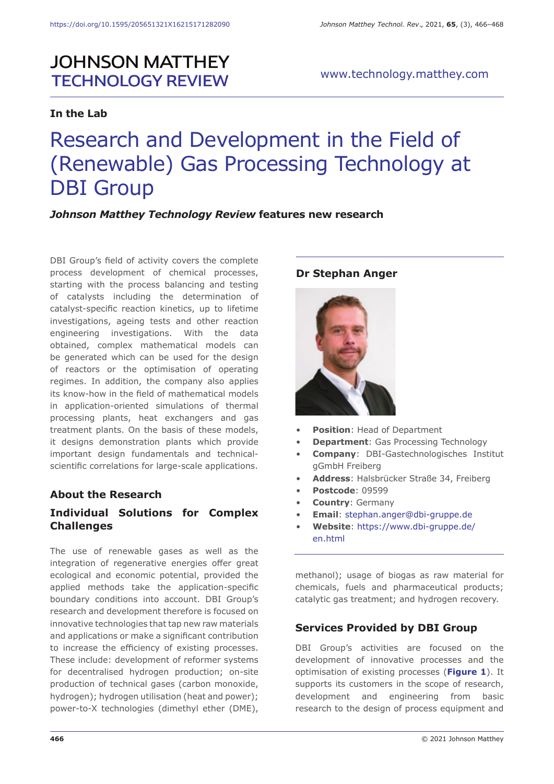# **JOHNSON MATTHEY TECHNOLOGY REVIEW**

# **In the Lab**

# www.technology.matthey.com

# Research and Development in the Field of (Renewable) Gas Processing Technology at DBI Group

### *Johnson Matthey Technology Review* **features new research**

DBI Group's field of activity covers the complete process development of chemical processes, starting with the process balancing and testing of catalysts including the determination of catalyst-specific reaction kinetics, up to lifetime investigations, ageing tests and other reaction engineering investigations. With the data obtained, complex mathematical models can be generated which can be used for the design of reactors or the optimisation of operating regimes. In addition, the company also applies its know-how in the field of mathematical models in application-oriented simulations of thermal processing plants, heat exchangers and gas treatment plants. On the basis of these models, it designs demonstration plants which provide important design fundamentals and technicalscientific correlations for large-scale applications.

# **About the Research**

# **Individual Solutions for Complex Challenges**

The use of renewable gases as well as the integration of regenerative energies offer great ecological and economic potential, provided the applied methods take the application-specific boundary conditions into account. DBI Group's research and development therefore is focused on innovative technologies that tap new raw materials and applications or make a significant contribution to increase the efficiency of existing processes. These include: development of reformer systems for decentralised hydrogen production; on-site production of technical gases (carbon monoxide, hydrogen); hydrogen utilisation (heat and power); power-to-X technologies (dimethyl ether (DME),

#### **Dr Stephan Anger**



- **Position: Head of Department**
- **Department**: Gas Processing Technology
- **Company**: DBI-Gastechnologisches Institut gGmbH Freiberg
- **Address**: Halsbrücker Straße 34, Freiberg
- **Postcode**: 09599
- **Country**: Germany
- **Email**: stephan.anger@dbi-gruppe.de
- **Website**: https://www.dbi-gruppe.de/ en.html

methanol); usage of biogas as raw material for chemicals, fuels and pharmaceutical products; catalytic gas treatment; and hydrogen recovery.

#### **Services Provided by DBI Group**

DBI Group's activities are focused on the development of innovative processes and the optimisation of existing processes (**Figure 1**). It supports its customers in the scope of research, development and engineering from basic research to the design of process equipment and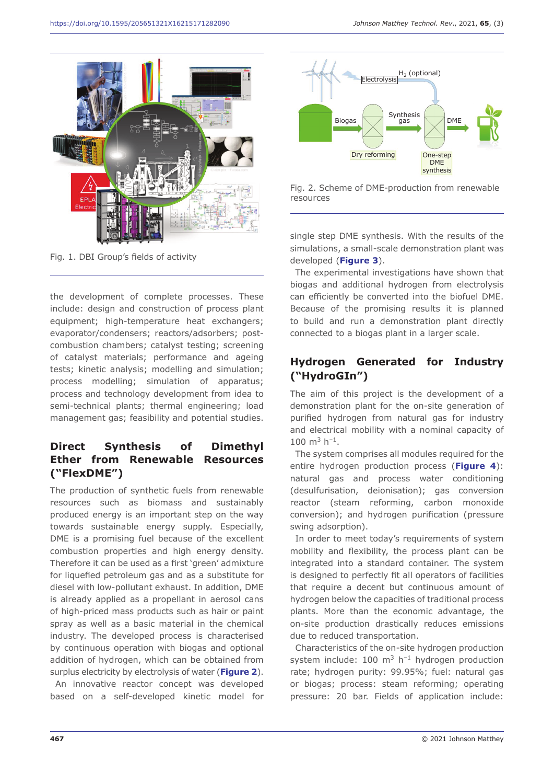

Fig. 1. DBI Group's fields of activity

the development of complete processes. These include: design and construction of process plant equipment; high-temperature heat exchangers; evaporator/condensers; reactors/adsorbers; postcombustion chambers; catalyst testing; screening of catalyst materials; performance and ageing tests; kinetic analysis; modelling and simulation; process modelling; simulation of apparatus; process and technology development from idea to semi-technical plants; thermal engineering; load management gas; feasibility and potential studies.

# **Direct Synthesis of Dimethyl Ether from Renewable Resources ("FlexDME")**

The production of synthetic fuels from renewable resources such as biomass and sustainably produced energy is an important step on the way towards sustainable energy supply. Especially, DME is a promising fuel because of the excellent combustion properties and high energy density. Therefore it can be used as a first 'green' admixture for liquefied petroleum gas and as a substitute for diesel with low-pollutant exhaust. In addition, DME is already applied as a propellant in aerosol cans of high-priced mass products such as hair or paint spray as well as a basic material in the chemical industry. The developed process is characterised by continuous operation with biogas and optional addition of hydrogen, which can be obtained from surplus electricity by electrolysis of water (**Figure 2**).

An innovative reactor concept was developed based on a self-developed kinetic model for



Fig. 2. Scheme of DME-production from renewable resources

single step DME synthesis. With the results of the simulations, a small-scale demonstration plant was developed (**Figure 3**).

The experimental investigations have shown that biogas and additional hydrogen from electrolysis can efficiently be converted into the biofuel DME. Because of the promising results it is planned to build and run a demonstration plant directly connected to a biogas plant in a larger scale.

# **Hydrogen Generated for Industry ("HydroGIn")**

The aim of this project is the development of a demonstration plant for the on-site generation of purified hydrogen from natural gas for industry and electrical mobility with a nominal capacity of  $100 \text{ m}^3 \text{ h}^{-1}$ .

The system comprises all modules required for the entire hydrogen production process (**Figure 4**): natural gas and process water conditioning (desulfurisation, deionisation); gas conversion reactor (steam reforming, carbon monoxide conversion); and hydrogen purification (pressure swing adsorption).

In order to meet today's requirements of system mobility and flexibility, the process plant can be integrated into a standard container. The system is designed to perfectly fit all operators of facilities that require a decent but continuous amount of hydrogen below the capacities of traditional process plants. More than the economic advantage, the on-site production drastically reduces emissions due to reduced transportation.

Characteristics of the on-site hydrogen production system include:  $100 \text{ m}^3$  h<sup>-1</sup> hydrogen production rate; hydrogen purity: 99.95%; fuel: natural gas or biogas; process: steam reforming; operating pressure: 20 bar. Fields of application include: